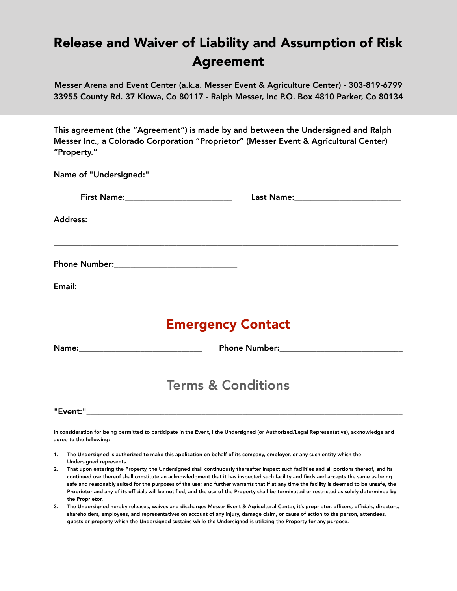## Release and Waiver of Liability and Assumption of Risk Agreement

Messer Arena and Event Center (a.k.a. Messer Event & Agriculture Center) - 303-819-6799 33955 County Rd. 37 Kiowa, Co 80117 - Ralph Messer, Inc P.O. Box 4810 Parker, Co 80134

This agreement (the "Agreement") is made by and between the Undersigned and Ralph Messer Inc., a Colorado Corporation "Proprietor" (Messer Event & Agricultural Center) "Property."

| First Name:__________________________                       |  |  |
|-------------------------------------------------------------|--|--|
|                                                             |  |  |
|                                                             |  |  |
|                                                             |  |  |
| $E_{\text{max}}$ and an air $\mathcal{C}_{\text{rank}}$ and |  |  |

## Emergency Contact

Name of "Undersigned:"

Name:\_\_\_\_\_\_\_\_\_\_\_\_\_\_\_\_\_\_\_\_\_\_\_\_\_\_\_\_\_\_ Phone Number:\_\_\_\_\_\_\_\_\_\_\_\_\_\_\_\_\_\_\_\_\_\_\_\_\_\_\_\_\_\_

## Terms & Conditions

"Event:"\_\_\_\_\_\_\_\_\_\_\_\_\_\_\_\_\_\_\_\_\_\_\_\_\_\_\_\_\_\_\_\_\_\_\_\_\_\_\_\_\_\_\_\_\_\_\_\_\_\_\_\_\_\_\_\_\_\_\_\_\_\_\_\_\_\_\_\_\_\_\_\_\_\_\_\_\_

In consideration for being permitted to participate in the Event, I the Undersigned (or Authorized/Legal Representative), acknowledge and agree to the following:

- 1. The Undersigned is authorized to make this application on behalf of its company, employer, or any such entity which the Undersigned represents.
- 2. That upon entering the Property, the Undersigned shall continuously thereafter inspect such facilities and all portions thereof, and its continued use thereof shall constitute an acknowledgment that it has inspected such facility and finds and accepts the same as being safe and reasonably suited for the purposes of the use; and further warrants that if at any time the facility is deemed to be unsafe, the Proprietor and any of its officials will be notified, and the use of the Property shall be terminated or restricted as solely determined by the Proprietor.
- 3. The Undersigned hereby releases, waives and discharges Messer Event & Agricultural Center, it's proprietor, officers, officials, directors, shareholders, employees, and representatives on account of any injury, damage claim, or cause of action to the person, attendees, guests or property which the Undersigned sustains while the Undersigned is utilizing the Property for any purpose.